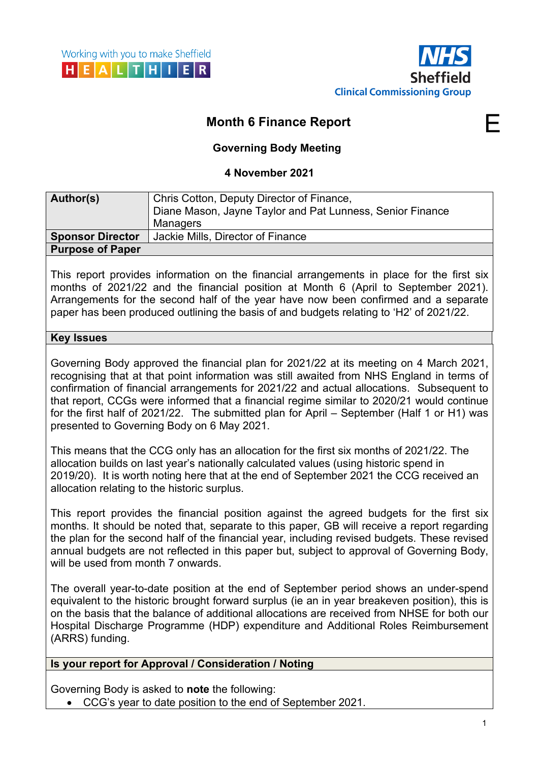

# **Month 6 Finance Report**

## **Governing Body Meeting**

## **4 November 2021**

| Author(s)               | Chris Cotton, Deputy Director of Finance,                 |
|-------------------------|-----------------------------------------------------------|
|                         | Diane Mason, Jayne Taylor and Pat Lunness, Senior Finance |
|                         | Managers                                                  |
| <b>Sponsor Director</b> | Jackie Mills, Director of Finance                         |
| <b>Purpose of Paper</b> |                                                           |

This report provides information on the financial arrangements in place for the first six months of 2021/22 and the financial position at Month 6 (April to September 2021). Arrangements for the second half of the year have now been confirmed and a separate paper has been produced outlining the basis of and budgets relating to 'H2' of 2021/22.

#### **Key Issues**

Governing Body approved the financial plan for 2021/22 at its meeting on 4 March 2021, recognising that at that point information was still awaited from NHS England in terms of confirmation of financial arrangements for 2021/22 and actual allocations. Subsequent to that report, CCGs were informed that a financial regime similar to 2020/21 would continue for the first half of 2021/22. The submitted plan for April – September (Half 1 or H1) was presented to Governing Body on 6 May 2021.

This means that the CCG only has an allocation for the first six months of 2021/22. The allocation builds on last year's nationally calculated values (using historic spend in 2019/20). It is worth noting here that at the end of September 2021 the CCG received an allocation relating to the historic surplus.

This report provides the financial position against the agreed budgets for the first six months. It should be noted that, separate to this paper, GB will receive a report regarding the plan for the second half of the financial year, including revised budgets. These revised annual budgets are not reflected in this paper but, subject to approval of Governing Body, will be used from month 7 onwards.

The overall year-to-date position at the end of September period shows an under-spend equivalent to the historic brought forward surplus (ie an in year breakeven position), this is on the basis that the balance of additional allocations are received from NHSE for both our Hospital Discharge Programme (HDP) expenditure and Additional Roles Reimbursement (ARRS) funding.

## **Is your report for Approval / Consideration / Noting**

Governing Body is asked to **note** the following:

• CCG's year to date position to the end of September 2021.

E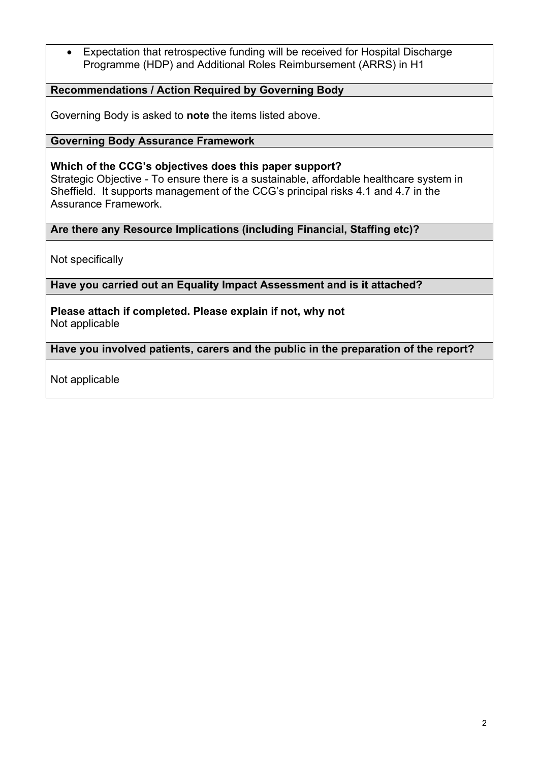• Expectation that retrospective funding will be received for Hospital Discharge Programme (HDP) and Additional Roles Reimbursement (ARRS) in H1

## **Recommendations / Action Required by Governing Body**

Governing Body is asked to **note** the items listed above.

### **Governing Body Assurance Framework**

### **Which of the CCG's objectives does this paper support?**

Strategic Objective - To ensure there is a sustainable, affordable healthcare system in Sheffield. It supports management of the CCG's principal risks 4.1 and 4.7 in the Assurance Framework.

#### **Are there any Resource Implications (including Financial, Staffing etc)?**

Not specifically

#### **Have you carried out an Equality Impact Assessment and is it attached?**

**Please attach if completed. Please explain if not, why not** Not applicable

**Have you involved patients, carers and the public in the preparation of the report?** 

Not applicable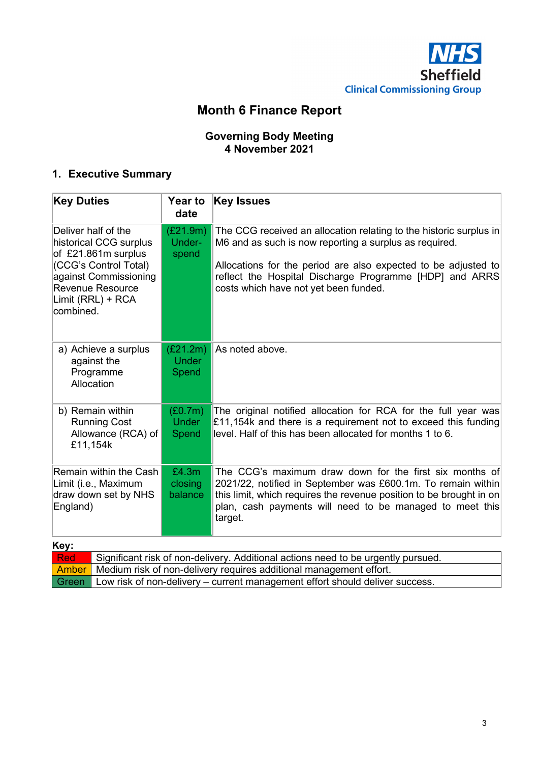

# **Month 6 Finance Report**

## **Governing Body Meeting 4 November 2021**

## **1. Executive Summary**

| <b>Key Duties</b><br><b>Key Issues</b><br><b>Year to</b><br>date                                                                                                             |                                   |                                                                                                                                                                                                                                                                                                    |  |  |  |  |  |
|------------------------------------------------------------------------------------------------------------------------------------------------------------------------------|-----------------------------------|----------------------------------------------------------------------------------------------------------------------------------------------------------------------------------------------------------------------------------------------------------------------------------------------------|--|--|--|--|--|
| Deliver half of the<br>historical CCG surplus<br>of £21.861m surplus<br>(CCG's Control Total)<br>against Commissioning<br>Revenue Resource<br>Limit (RRL) + RCA<br>combined. | (E21.9m)<br>Under-<br>spend       | The CCG received an allocation relating to the historic surplus in<br>M6 and as such is now reporting a surplus as required.<br>Allocations for the period are also expected to be adjusted to<br>reflect the Hospital Discharge Programme [HDP] and ARRS<br>costs which have not yet been funded. |  |  |  |  |  |
| a) Achieve a surplus<br>against the<br>Programme<br>Allocation                                                                                                               | (E21.2m)<br><b>Under</b><br>Spend | As noted above.                                                                                                                                                                                                                                                                                    |  |  |  |  |  |
| b) Remain within<br><b>Running Cost</b><br>Allowance (RCA) of<br>£11,154k                                                                                                    | (E0.7m)<br><b>Under</b><br>Spend  | The original notified allocation for RCA for the full year was<br>£11,154k and there is a requirement not to exceed this funding<br>level. Half of this has been allocated for months 1 to 6.                                                                                                      |  |  |  |  |  |
| £4.3m<br>Remain within the Cash<br>Limit (i.e., Maximum<br>closing<br>draw down set by NHS<br>balance<br>England)                                                            |                                   | The CCG's maximum draw down for the first six months of<br>2021/22, notified in September was £600.1m. To remain within<br>this limit, which requires the revenue position to be brought in on<br>plan, cash payments will need to be managed to meet this<br>target.                              |  |  |  |  |  |
| Key:<br><b>Red</b>                                                                                                                                                           |                                   | Significant risk of non-delivery. Additional actions need to be urgently pursued.                                                                                                                                                                                                                  |  |  |  |  |  |

| Amber   Medium risk of non-delivery requires additional management effort.                 |
|--------------------------------------------------------------------------------------------|
| Green $\vert$ Low risk of non-delivery – current management effort should deliver success. |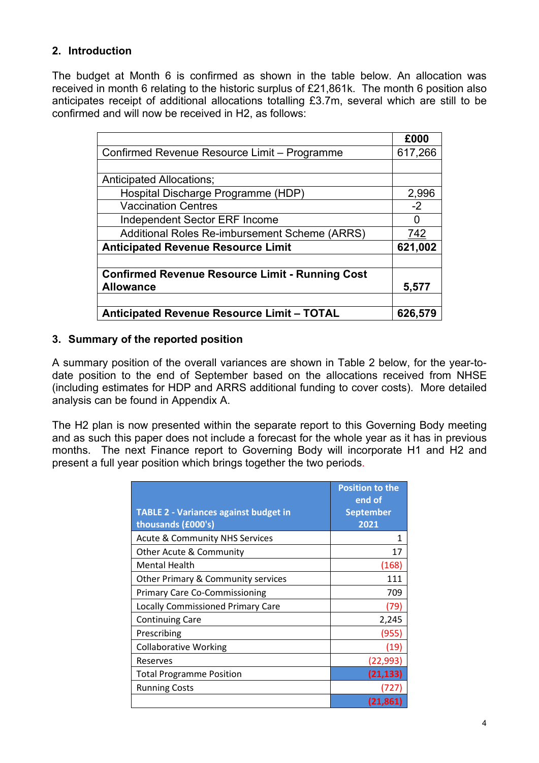## **2. Introduction**

The budget at Month 6 is confirmed as shown in the table below. An allocation was received in month 6 relating to the historic surplus of £21,861k. The month 6 position also anticipates receipt of additional allocations totalling £3.7m, several which are still to be confirmed and will now be received in H2, as follows:

|                                                        | £000    |
|--------------------------------------------------------|---------|
| Confirmed Revenue Resource Limit - Programme           | 617,266 |
|                                                        |         |
| <b>Anticipated Allocations:</b>                        |         |
| Hospital Discharge Programme (HDP)                     | 2,996   |
| <b>Vaccination Centres</b>                             | $-2$    |
| Independent Sector ERF Income                          |         |
| Additional Roles Re-imbursement Scheme (ARRS)          | 742     |
| <b>Anticipated Revenue Resource Limit</b>              | 621,002 |
|                                                        |         |
| <b>Confirmed Revenue Resource Limit - Running Cost</b> |         |
| <b>Allowance</b>                                       | 5,577   |
|                                                        |         |
| <b>Anticipated Revenue Resource Limit - TOTAL</b>      | 626,579 |

## **3. Summary of the reported position**

A summary position of the overall variances are shown in Table 2 below, for the year-todate position to the end of September based on the allocations received from NHSE (including estimates for HDP and ARRS additional funding to cover costs). More detailed analysis can be found in Appendix A.

The H2 plan is now presented within the separate report to this Governing Body meeting and as such this paper does not include a forecast for the whole year as it has in previous months. The next Finance report to Governing Body will incorporate H1 and H2 and present a full year position which brings together the two periods.

|                                              | <b>Position to the</b><br>end of |
|----------------------------------------------|----------------------------------|
| <b>TABLE 2 - Variances against budget in</b> | <b>September</b>                 |
| thousands (£000's)                           | 2021                             |
| <b>Acute &amp; Community NHS Services</b>    |                                  |
| Other Acute & Community                      | 17                               |
| <b>Mental Health</b>                         | (168)                            |
| Other Primary & Community services           | 111                              |
| <b>Primary Care Co-Commissioning</b>         | 709                              |
| <b>Locally Commissioned Primary Care</b>     | (79)                             |
| <b>Continuing Care</b>                       | 2,245                            |
| Prescribing                                  | (955)                            |
| <b>Collaborative Working</b>                 | (19)                             |
| Reserves                                     | (22, 993)                        |
| <b>Total Programme Position</b>              | (21, 133)                        |
| <b>Running Costs</b>                         | (727)                            |
|                                              | (21,861)                         |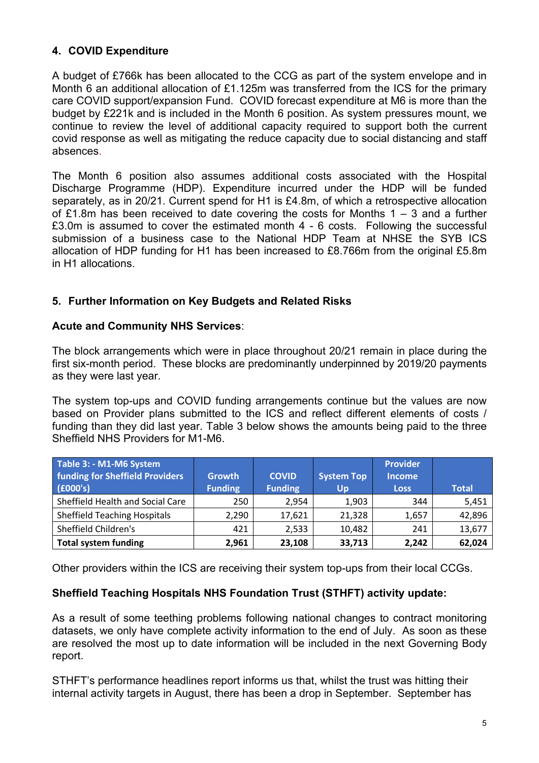## **4. COVID Expenditure**

A budget of £766k has been allocated to the CCG as part of the system envelope and in Month 6 an additional allocation of £1.125m was transferred from the ICS for the primary care COVID support/expansion Fund. COVID forecast expenditure at M6 is more than the budget by £221k and is included in the Month 6 position. As system pressures mount, we continue to review the level of additional capacity required to support both the current covid response as well as mitigating the reduce capacity due to social distancing and staff absences.

The Month 6 position also assumes additional costs associated with the Hospital Discharge Programme (HDP). Expenditure incurred under the HDP will be funded separately, as in 20/21. Current spend for H1 is £4.8m, of which a retrospective allocation of £1.8m has been received to date covering the costs for Months 1 – 3 and a further £3.0m is assumed to cover the estimated month 4 - 6 costs. Following the successful submission of a business case to the National HDP Team at NHSE the SYB ICS allocation of HDP funding for H1 has been increased to £8.766m from the original £5.8m in H1 allocations.

## **5. Further Information on Key Budgets and Related Risks**

## **Acute and Community NHS Services**:

The block arrangements which were in place throughout 20/21 remain in place during the first six-month period. These blocks are predominantly underpinned by 2019/20 payments as they were last year.

The system top-ups and COVID funding arrangements continue but the values are now based on Provider plans submitted to the ICS and reflect different elements of costs / funding than they did last year. Table 3 below shows the amounts being paid to the three Sheffield NHS Providers for M1-M6.

| Table 3: - M1-M6 System<br><b>funding for Sheffield Providers</b><br>(6000's) | <b>Growth</b><br><b>Funding</b> | <b>COVID</b><br><b>Funding</b> | <b>System Top</b><br>Up | <b>Provider</b><br><b>Income</b><br><b>Loss</b> | <b>Total</b> |
|-------------------------------------------------------------------------------|---------------------------------|--------------------------------|-------------------------|-------------------------------------------------|--------------|
| Sheffield Health and Social Care                                              | 250                             | 2,954                          | 1,903                   | 344                                             | 5,451        |
| <b>Sheffield Teaching Hospitals</b>                                           | 2,290                           | 17,621                         | 21,328                  | 1,657                                           | 42,896       |
| Sheffield Children's                                                          | 421                             | 2,533                          | 10,482                  | 241                                             | 13,677       |
| <b>Total system funding</b>                                                   | 2,961                           | 23,108                         | 33,713                  | 2,242                                           | 62,024       |

Other providers within the ICS are receiving their system top-ups from their local CCGs.

## **Sheffield Teaching Hospitals NHS Foundation Trust (STHFT) activity update:**

As a result of some teething problems following national changes to contract monitoring datasets, we only have complete activity information to the end of July. As soon as these are resolved the most up to date information will be included in the next Governing Body report.

STHFT's performance headlines report informs us that, whilst the trust was hitting their internal activity targets in August, there has been a drop in September. September has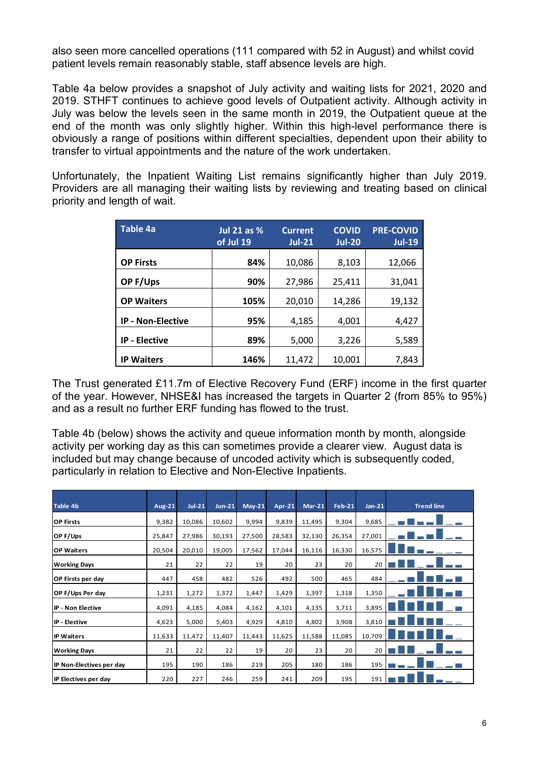also seen more cancelled operations (111 compared with 52 in August) and whilst covid patient levels remain reasonably stable, staff absence levels are high.

Table 4a below provides a snapshot of July activity and waiting lists for 2021, 2020 and 2019. STHFT continues to achieve good levels of Outpatient activity. Although activity in July was below the levels seen in the same month in 2019, the Outpatient queue at the end of the month was only slightly higher. Within this high-level performance there is obviously a range of positions within different specialties, dependent upon their ability to transfer to virtual appointments and the nature of the work undertaken.

Unfortunately, the Inpatient Waiting List remains significantly higher than July 2019. Providers are all managing their waiting lists by reviewing and treating based on clinical priority and length of wait.

| <b>Table 4a</b>          | <b>Jul 21 as %</b><br>of Jul 19 | <b>Current</b><br>$Jul-211$ | <b>COVID</b><br><b>Jul-20</b> | <b>PRE-COVID</b><br><b>Jul-19</b> |
|--------------------------|---------------------------------|-----------------------------|-------------------------------|-----------------------------------|
| <b>OP Firsts</b>         | 84%                             | 10,086                      | 8,103                         | 12,066                            |
| OP F/Ups                 | 90%                             | 27,986                      | 25,411                        | 31,041                            |
| <b>OP Waiters</b>        | 105%                            | 20,010                      | 14,286                        | 19,132                            |
| <b>IP - Non-Elective</b> | 95%                             | 4,185                       | 4,001                         | 4,427                             |
| <b>IP - Elective</b>     | 89%                             | 5,000                       | 3,226                         | 5,589                             |
| <b>IP Waiters</b>        | 146%                            | 11,472                      | 10,001                        | 7,843                             |

The Trust generated £11.7m of Elective Recovery Fund (ERF) income in the first quarter of the year. However, NHSE&I has increased the targets in Quarter 2 (from 85% to 95%) and as a result no further ERF funding has flowed to the trust.

Table 4b (below) shows the activity and queue information month by month, alongside activity per working day as this can sometimes provide a clearer view. August data is included but may change because of uncoded activity which is subsequently coded, particularly in relation to Elective and Non-Elective Inpatients.

| <b>Table 4b</b>          | <b>Aug-21</b> | $Jul-21$ | $Jun-21$ | $May-21$ | $Apr-21$ | $Mar-21$ | Feb-21 | $Jan-21$ | <b>Trend line</b> |
|--------------------------|---------------|----------|----------|----------|----------|----------|--------|----------|-------------------|
| <b>OP Firsts</b>         | 9,382         | 10,086   | 10,602   | 9,994    | 9,839    | 11,495   | 9,304  | 9,685    |                   |
| OP F/Ups                 | 25,847        | 27,986   | 30,193   | 27,500   | 28,583   | 32,130   | 26,354 | 27,001   |                   |
| <b>OP Waiters</b>        | 20,504        | 20,010   | 19,005   | 17,562   | 17,044   | 16,116   | 16,330 | 16,575   |                   |
| <b>Working Days</b>      | 21            | 22       | 22       | 19       | 20       | 23       | 20     | 20       |                   |
| <b>OP Firsts per day</b> | 447           | 458      | 482      | 526      | 492      | 500      | 465    | 484      |                   |
| OP F/Ups Per day         | 1,231         | 1,272    | 1,372    | 1,447    | 1,429    | 1,397    | 1,318  | 1,350    |                   |
| <b>IP - Non Elective</b> | 4,091         | 4,185    | 4,084    | 4,162    | 4,101    | 4,135    | 3,711  | 3,895    |                   |
| IP - Elective            | 4,623         | 5,000    | 5,403    | 4,929    | 4,810    | 4,802    | 3,908  | 3,810    |                   |
| <b>IP Waiters</b>        | 11,633        | 11,472   | 11,407   | 11,443   | 11,625   | 11,588   | 11,085 | 10,709   |                   |
| <b>Working Days</b>      | 21            | 22       | 22       | 19       | 20       | 23       | 20     | 20       |                   |
| IP Non-Electives per day | 195           | 190      | 186      | 219      | 205      | 180      | 186    | 195      |                   |
| IP Electives per day     | 220           | 227      | 246      | 259      | 241      | 209      | 195    | 191      |                   |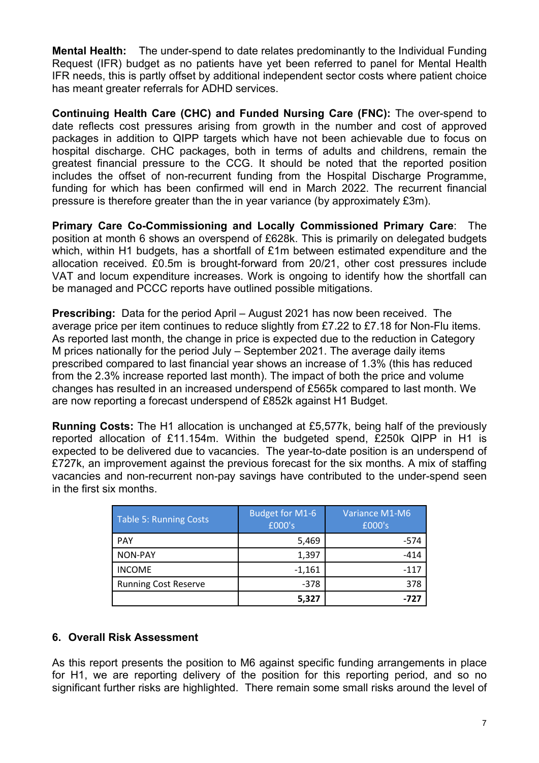**Mental Health:** The under-spend to date relates predominantly to the Individual Funding Request (IFR) budget as no patients have yet been referred to panel for Mental Health IFR needs, this is partly offset by additional independent sector costs where patient choice has meant greater referrals for ADHD services.

**Continuing Health Care (CHC) and Funded Nursing Care (FNC):** The over-spend to date reflects cost pressures arising from growth in the number and cost of approved packages in addition to QIPP targets which have not been achievable due to focus on hospital discharge. CHC packages, both in terms of adults and childrens, remain the greatest financial pressure to the CCG. It should be noted that the reported position includes the offset of non-recurrent funding from the Hospital Discharge Programme, funding for which has been confirmed will end in March 2022. The recurrent financial pressure is therefore greater than the in year variance (by approximately £3m).

**Primary Care Co-Commissioning and Locally Commissioned Primary Care**: The position at month 6 shows an overspend of £628k. This is primarily on delegated budgets which, within H1 budgets, has a shortfall of £1m between estimated expenditure and the allocation received. £0.5m is brought-forward from 20/21, other cost pressures include VAT and locum expenditure increases. Work is ongoing to identify how the shortfall can be managed and PCCC reports have outlined possible mitigations.

**Prescribing:** Data for the period April – August 2021 has now been received. The average price per item continues to reduce slightly from £7.22 to £7.18 for Non-Flu items. As reported last month, the change in price is expected due to the reduction in Category M prices nationally for the period July – September 2021. The average daily items prescribed compared to last financial year shows an increase of 1.3% (this has reduced from the 2.3% increase reported last month). The impact of both the price and volume changes has resulted in an increased underspend of £565k compared to last month. We are now reporting a forecast underspend of £852k against H1 Budget.

**Running Costs:** The H1 allocation is unchanged at £5,577k, being half of the previously reported allocation of £11.154m. Within the budgeted spend, £250k QIPP in H1 is expected to be delivered due to vacancies. The year-to-date position is an underspend of £727k, an improvement against the previous forecast for the six months. A mix of staffing vacancies and non-recurrent non-pay savings have contributed to the under-spend seen in the first six months.

| <b>Table 5: Running Costs</b> | <b>Budget for M1-6</b><br>£000's | Variance M1-M6<br>£000's |
|-------------------------------|----------------------------------|--------------------------|
| <b>PAY</b>                    | 5,469                            | $-574$                   |
| <b>NON-PAY</b>                | 1,397                            | $-414$                   |
| <b>INCOME</b>                 | $-1,161$                         | $-117$                   |
| <b>Running Cost Reserve</b>   | $-378$                           | 378                      |
|                               | 5,327                            | -727                     |

## **6. Overall Risk Assessment**

As this report presents the position to M6 against specific funding arrangements in place for H1, we are reporting delivery of the position for this reporting period, and so no significant further risks are highlighted. There remain some small risks around the level of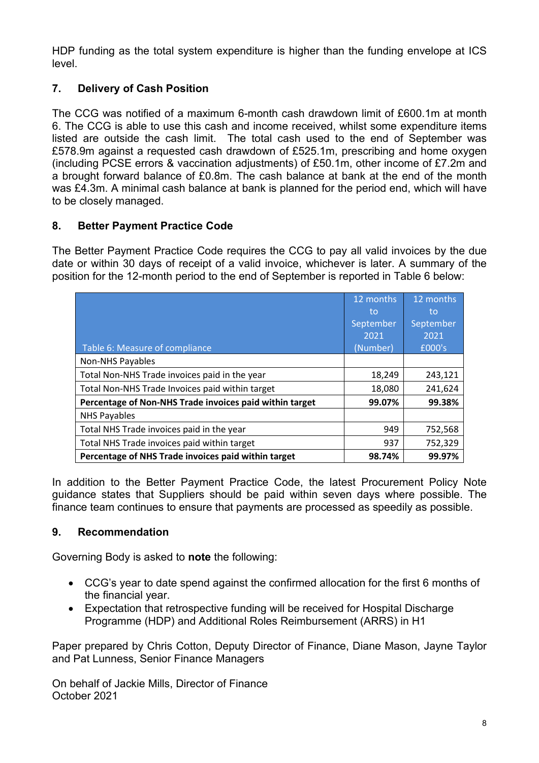HDP funding as the total system expenditure is higher than the funding envelope at ICS level.

## **7. Delivery of Cash Position**

The CCG was notified of a maximum 6-month cash drawdown limit of £600.1m at month 6. The CCG is able to use this cash and income received, whilst some expenditure items listed are outside the cash limit. The total cash used to the end of September was £578.9m against a requested cash drawdown of £525.1m, prescribing and home oxygen (including PCSE errors & vaccination adjustments) of £50.1m, other income of £7.2m and a brought forward balance of £0.8m. The cash balance at bank at the end of the month was £4.3m. A minimal cash balance at bank is planned for the period end, which will have to be closely managed.

## **8. Better Payment Practice Code**

The Better Payment Practice Code requires the CCG to pay all valid invoices by the due date or within 30 days of receipt of a valid invoice, whichever is later. A summary of the position for the 12-month period to the end of September is reported in Table 6 below:

|                                                         | 12 months | 12 months |
|---------------------------------------------------------|-----------|-----------|
|                                                         | to        | to        |
|                                                         | September | September |
|                                                         | 2021      | 2021      |
| Table 6: Measure of compliance                          | (Number)  | £000's    |
| <b>Non-NHS Payables</b>                                 |           |           |
| Total Non-NHS Trade invoices paid in the year           | 18,249    | 243,121   |
| Total Non-NHS Trade Invoices paid within target         | 18,080    | 241,624   |
| Percentage of Non-NHS Trade invoices paid within target | 99.07%    | 99.38%    |
| <b>NHS Payables</b>                                     |           |           |
| Total NHS Trade invoices paid in the year               | 949       | 752,568   |
| Total NHS Trade invoices paid within target             | 937       | 752,329   |
| Percentage of NHS Trade invoices paid within target     | 98.74%    | 99.97%    |

In addition to the Better Payment Practice Code, the latest Procurement Policy Note guidance states that Suppliers should be paid within seven days where possible. The finance team continues to ensure that payments are processed as speedily as possible.

## **9. Recommendation**

Governing Body is asked to **note** the following:

- CCG's year to date spend against the confirmed allocation for the first 6 months of the financial year.
- Expectation that retrospective funding will be received for Hospital Discharge Programme (HDP) and Additional Roles Reimbursement (ARRS) in H1

Paper prepared by Chris Cotton, Deputy Director of Finance, Diane Mason, Jayne Taylor and Pat Lunness, Senior Finance Managers

On behalf of Jackie Mills, Director of Finance October 2021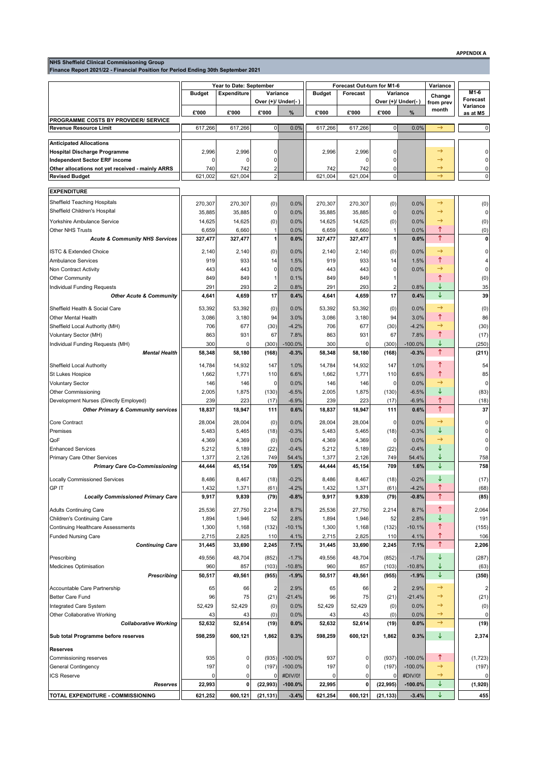**NHS Sheffield Clinical Commisisoning Group Finance Report 2021/22 - Financial Position for Period Ending 30th September 2021**

|                                                  | Year to Date: September |                    |                    |           | Forecast Out-turn for M1-6 |              |              |                    | Variance            |                      |
|--------------------------------------------------|-------------------------|--------------------|--------------------|-----------|----------------------------|--------------|--------------|--------------------|---------------------|----------------------|
|                                                  | <b>Budget</b>           | <b>Expenditure</b> | Variance           |           | <b>Budget</b>              | Forecast     |              | Variance           |                     | $M1-6$               |
|                                                  |                         |                    | Over (+)/ Under(-) |           |                            |              |              | Over (+)/ Under(-) | Change<br>from prev | Forecast             |
|                                                  | £'000                   | £'000              | £'000              | %         | £'000                      | £'000        | £'000        | %                  | month               | Variance<br>as at M5 |
| PROGRAMME COSTS BY PROVIDER/ SERVICE             |                         |                    |                    |           |                            |              |              |                    |                     |                      |
| <b>Revenue Resource Limit</b>                    | 617,266                 | 617,266            | $\pmb{0}$          | 0.0%      | 617,266                    | 617,266      | $\pmb{0}$    | 0.0%               | $\rightarrow$       | 0                    |
| <b>Anticipated Allocations</b>                   |                         |                    |                    |           |                            |              |              |                    |                     |                      |
| <b>Hospital Discharge Programme</b>              | 2,996                   | 2,996              | 0                  |           | 2,996                      | 2,996        | 0            |                    | →                   | 0                    |
| <b>Independent Sector ERF income</b>             | $\Omega$                | 0                  | 0                  |           |                            | 0            | 0            |                    | →                   | 0                    |
| Other allocations not yet received - mainly ARRS | 740                     | 742                | 2                  |           | 742                        | 742          | 0            |                    | $\rightarrow$       | 0                    |
| <b>Revised Budget</b>                            | 621,002                 | 621,004            | $\overline{2}$     |           | 621,004                    | 621,004      | $\mathbf 0$  |                    | $\rightarrow$       | 0                    |
|                                                  |                         |                    |                    |           |                            |              |              |                    |                     |                      |
| <b>EXPENDITURE</b>                               |                         |                    |                    |           |                            |              |              |                    |                     |                      |
| Sheffield Teaching Hospitals                     | 270,307                 | 270,307            | (0)                | 0.0%      | 270,307                    | 270,307      | (0)          | 0.0%               | $\rightarrow$       | (0)                  |
| Sheffield Children's Hospital                    | 35,885                  | 35,885             | 0                  | 0.0%      | 35,885                     | 35,885       | 0            | 0.0%               | $\rightarrow$       | $\mathbf 0$          |
| Yorkshire Ambulance Service                      | 14,625                  | 14,625             | (0)                | 0.0%      | 14,625                     | 14,625       | (0)          | 0.0%               | →                   | (0)                  |
| <b>Other NHS Trusts</b>                          | 6,659                   | 6,660              | $\mathbf{1}$       | 0.0%      | 6,659                      | 6,660        | $\mathbf{1}$ | 0.0%               | ↑                   | (0)                  |
| <b>Acute &amp; Community NHS Services</b>        | 327,477                 | 327,477            | 1                  | 0.0%      | 327,477                    | 327,477      | 1            | 0.0%               | $\uparrow$          | 0                    |
| <b>ISTC &amp; Extended Choice</b>                | 2,140                   | 2,140              | (0)                | 0.0%      | 2,140                      | 2,140        | (0)          | 0.0%               | $\rightarrow$       | 0                    |
| <b>Ambulance Services</b>                        | 919                     | 933                | 14                 | 1.5%      | 919                        | 933          | 14           | 1.5%               | ↑                   | 4                    |
| Non Contract Activity                            | 443                     | 443                | 0                  | 0.0%      | 443                        | 443          | 0            | 0.0%               | →                   | 0                    |
| <b>Other Community</b>                           | 849                     | 849                | 1                  | 0.1%      | 849                        | 849          | 1            |                    | ↑                   | (0)                  |
| Individual Funding Requests                      | 291                     | 293                | 2                  | 0.8%      | 291                        | 293          | 2            | 0.8%               | ↓                   | 35                   |
| <b>Other Acute &amp; Community</b>               | 4,641                   | 4,659              | 17                 | 0.4%      | 4,641                      | 4,659        | 17           | 0.4%               | ↓                   | 39                   |
| Sheffield Health & Social Care                   | 53,392                  | 53,392             | (0)                | 0.0%      | 53,392                     | 53,392       | (0)          | 0.0%               | $\rightarrow$       | (0)                  |
| Other Mental Health                              | 3,086                   | 3,180              | 94                 | 3.0%      | 3,086                      | 3,180        | 94           | 3.0%               | ↑                   | 86                   |
| Sheffield Local Authority (MH)                   | 706                     | 677                | (30)               | $-4.2%$   | 706                        | 677          | (30)         | $-4.2%$            | $\rightarrow$       | (30)                 |
| Voluntary Sector (MH)                            | 863                     | 931                | 67                 | 7.8%      | 863                        | 931          | 67           | 7.8%               | ↑                   | (17)                 |
| Individual Funding Requests (MH)                 | 300                     | 0                  | (300)              | $-100.0%$ | 300                        | $\Omega$     | (300)        | $-100.0%$          | ↓                   | (250)                |
| <b>Mental Health</b>                             | 58,348                  | 58,180             | (168)              | $-0.3%$   | 58,348                     | 58,180       | (168)        | $-0.3%$            | $\uparrow$          | (211)                |
| Sheffield Local Authority                        | 14,784                  | 14,932             | 147                | 1.0%      | 14,784                     | 14,932       | 147          | 1.0%               | ↑                   | 54                   |
| St Lukes Hospice                                 | 1,662                   | 1,771              | 110                | 6.6%      | 1,662                      | 1,771        | 110          | 6.6%               | ↑                   | 85                   |
| <b>Voluntary Sector</b>                          | 146                     | 146                | 0                  | 0.0%      | 146                        | 146          | 0            | 0.0%               | $\rightarrow$       | $\mathbf 0$          |
| <b>Other Commissioning</b>                       | 2,005                   | 1,875              | (130)              | $-6.5%$   | 2,005                      | 1,875        | (130)        | $-6.5%$            | ↓                   | (83)                 |
| Development Nurses (Directly Employed)           | 239                     | 223                | (17)               | $-6.9%$   | 239                        | 223          | (17)         | $-6.9%$            | ↑                   | (18)                 |
| <b>Other Primary &amp; Community services</b>    | 18,837                  | 18,947             | 111                | 0.6%      | 18,837                     | 18,947       | 111          | 0.6%               | $\uparrow$          | 37                   |
| Core Contract                                    | 28,004                  | 28,004             | (0)                | 0.0%      | 28,004                     | 28,004       | 0            | 0.0%               | $\rightarrow$       | 0                    |
| Premises                                         | 5,483                   | 5,465              | (18)               | $-0.3%$   | 5,483                      | 5,465        | (18)         | $-0.3%$            | ↓                   | 0                    |
| QoF                                              | 4,369                   | 4,369              | (0)                | 0.0%      | 4,369                      | 4,369        | 0            | 0.0%               | →                   | 0                    |
| <b>Enhanced Services</b>                         | 5,212                   | 5,189              | (22)               | $-0.4%$   | 5,212                      | 5,189        | (22)         | $-0.4%$            | ↓                   | 0                    |
| Primary Care Other Services                      | 1,377                   | 2,126              | 749                | 54.4%     | 1,377                      | 2,126        | 749          | 54.4%              | ↓                   | 758                  |
| <b>Primary Care Co-Commissioning</b>             | 44,444                  | 45,154             | 709                | 1.6%      | 44,444                     | 45,154       | 709          | 1.6%               | ↓                   | 758                  |
| <b>Locally Commissioned Services</b>             | 8.486                   | 8.467              | (18)               | $-0.2%$   | 8.486                      | 8,467        | (18)         | $-0.2%$            | ↓                   | (17)                 |
| <b>GPIT</b>                                      | 1,432                   | 1,371              | (61)               | $-4.2%$   | 1,432                      | 1,371        | (61)         | $-4.2%$            | ↑                   | (68)                 |
| <b>Locally Commissioned Primary Care</b>         | 9,917                   | 9,839              | (79)               | $-0.8%$   | 9,917                      | 9,839        | (79)         | $-0.8%$            | $\uparrow$          | (85)                 |
|                                                  |                         |                    |                    |           |                            |              |              |                    |                     |                      |
| <b>Adults Continuing Care</b>                    | 25,536                  | 27,750             | 2,214              | 8.7%      | 25,536                     | 27,750       | 2,214        | 8.7%               | ↑                   | 2,064                |
| Children's Continuing Care                       | 1,894                   | 1,946              | 52                 | 2.8%      | 1,894                      | 1,946        | 52           | 2.8%               | ↓                   | 191                  |
| <b>Continuing Healthcare Assessments</b>         | 1,300                   | 1,168              | (132)              | $-10.1%$  | 1,300                      | 1,168        | (132)        | $-10.1%$           | ↑                   | (155)                |
| <b>Funded Nursing Care</b>                       | 2,715                   | 2,825              | 110                | 4.1%      | 2,715                      | 2,825        | 110          | 4.1%               | ↑<br>$\uparrow$     | 106                  |
| <b>Continuing Care</b>                           | 31,445                  | 33,690             | 2,245              | 7.1%      | 31,445                     | 33,690       | 2,245        | 7.1%               |                     | 2,206                |
| Prescribing                                      | 49,556                  | 48,704             | (852)              | $-1.7%$   | 49,556                     | 48,704       | (852)        | $-1.7%$            | ↓                   | (287)                |
| Medicines Optimisation                           | 960                     | 857                | (103)              | $-10.8%$  | 960                        | 857          | (103)        | $-10.8%$           | ↓                   | (63)                 |
| <b>Prescribing</b>                               | 50,517                  | 49,561             | (955)              | $-1.9%$   | 50,517                     | 49,561       | (955)        | $-1.9%$            | $\downarrow$        | (350)                |
| Accountable Care Partnership                     | 65                      | 66                 | $\overline{2}$     | 2.9%      | 65                         | 66           | 2            | 2.9%               | $\rightarrow$       | $\overline{2}$       |
| Better Care Fund                                 | 96                      | 75                 | (21)               | $-21.4%$  | 96                         | 75           | (21)         | $-21.4%$           | $\rightarrow$       | (21)                 |
| Integrated Care System                           | 52,429                  | 52,429             | (0)                | 0.0%      | 52,429                     | 52,429       | (0)          | 0.0%               | $\rightarrow$       | (0)                  |
| Other Collaborative Working                      | 43                      | 43                 | (0)                | 0.0%      | 43                         | 43           | (0)          | 0.0%               | $\rightarrow$       | 0                    |
| <b>Collaborative Working</b>                     | 52,632                  | 52,614             | (19)               | 0.0%      | 52,632                     | 52,614       | (19)         | 0.0%               | $\rightarrow$       | (19)                 |
| Sub total Programme before reserves              | 598,259                 | 600,121            | 1,862              | 0.3%      | 598,259                    | 600,121      | 1,862        | 0.3%               | ↓                   | 2,374                |
|                                                  |                         |                    |                    |           |                            |              |              |                    |                     |                      |
| <b>Reserves</b>                                  |                         |                    |                    |           |                            |              |              |                    |                     |                      |
| Commissioning reserves                           | 935                     | 0                  | (935)              | $-100.0%$ | 937                        | 0            | (937)        | $-100.0%$          | ↑                   | (1, 723)             |
| General Contingency                              | 197                     | 0                  | (197)              | $-100.0%$ | 197                        | $\mathbf{0}$ | (197)        | $-100.0%$          | $\rightarrow$       | (197)                |
| ICS Reserve                                      | 0                       | 0                  | 0                  | #DIV/0!   | $\Omega$                   | $\mathbf 0$  | 0            | #DIV/0!            | $\rightarrow$       |                      |
| Reserves                                         | 22,993                  | 0                  | (22, 993)          | $-100.0%$ | 22,995                     | $\mathbf{0}$ | (22, 995)    | $-100.0%$          | $\downarrow$        | (1,920)              |
| TOTAL EXPENDITURE - COMMISSIONING                | 621,252                 | 600,121            | (21, 131)          | $-3.4%$   | 621,254                    | 600,121      | (21, 133)    | $-3.4%$            | ↓                   | 455                  |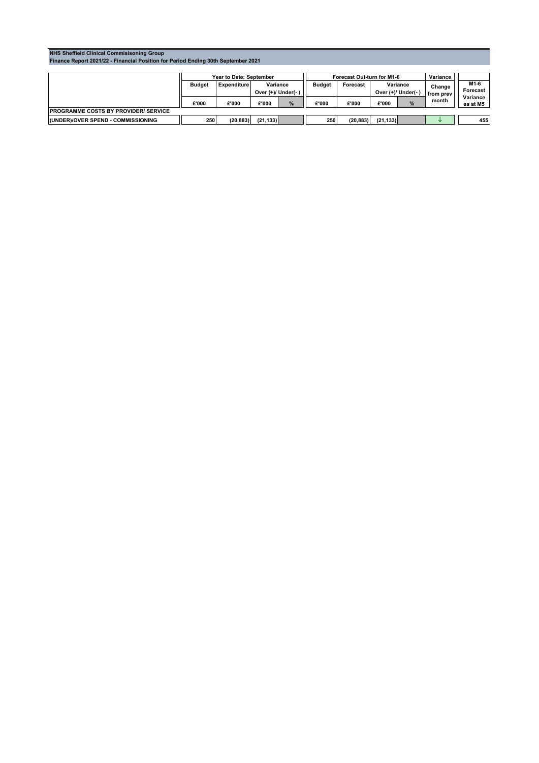#### **NHS Sheffield Clinical Commisisoning Group Finance Report 2021/22 - Financial Position for Period Ending 30th September 2021**

|                                              | Year to Date: September                                               |           |               |          | Forecast Out-turn for M1-6     |           |                     |                  | Variance |                      |
|----------------------------------------------|-----------------------------------------------------------------------|-----------|---------------|----------|--------------------------------|-----------|---------------------|------------------|----------|----------------------|
|                                              | Variance<br><b>Expenditure</b><br><b>Budget</b><br>Over (+)/ Under(-) |           | <b>Budget</b> | Forecast | Variance<br>Over (+)/ Under(-) |           | Change<br>from prev | M1-6<br>Forecast |          |                      |
|                                              | £'000                                                                 | £'000     | £'000         | %        | £'000                          | £'000     | £'000               | %                | month    | Variance<br>as at M5 |
| <b>IPROGRAMME COSTS BY PROVIDER/ SERVICE</b> |                                                                       |           |               |          |                                |           |                     |                  |          |                      |
| <b>IUNDER)/OVER SPEND - COMMISSIONING</b>    | 250                                                                   | (20, 883) | (21, 133)     |          | 250                            | (20, 883) | (21, 133)           |                  |          | 455                  |